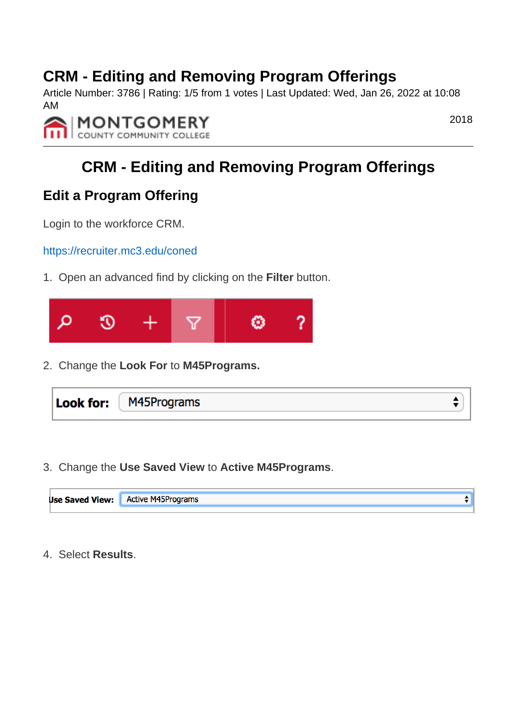### **CRM - Editing and Removing Program Offerings**

Article Number: 3786 | Rating: 1/5 from 1 votes | Last Updated: Wed, Jan 26, 2022 at 10:08 AM



2018

## **CRM - Editing and Removing Program Offerings**

### **Edit a Program Offering**

Login to the workforce CRM.

<https://recruiter.mc3.edu/coned>

1. Open an advanced find by clicking on the **Filter** button.



2. Change the **Look For** to **M45Programs.**

| Look for: | M45Programs |  |
|-----------|-------------|--|
|           |             |  |

3. Change the **Use Saved View** to **Active M45Programs**.



4. Select **Results**.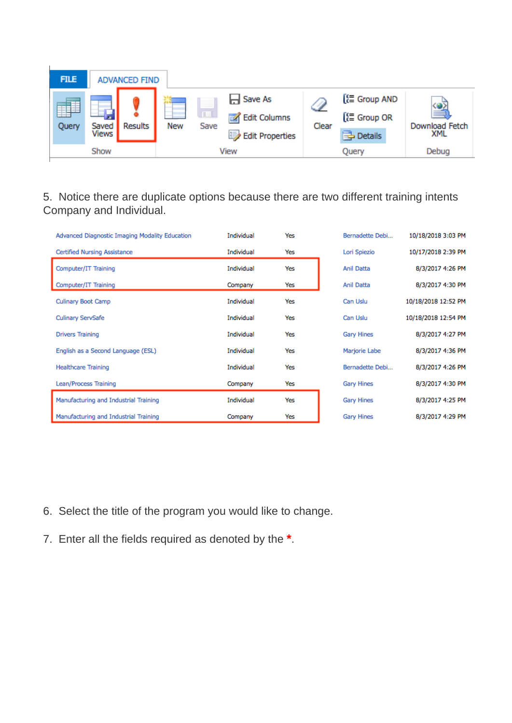| <b>FILE</b> | <b>ADVANCED FIND</b>             |                                   |                                                                           |              |                                                                                               |                                   |
|-------------|----------------------------------|-----------------------------------|---------------------------------------------------------------------------|--------------|-----------------------------------------------------------------------------------------------|-----------------------------------|
| Query       | Results<br>Saved<br><b>Views</b> | <b>TELL</b><br><b>New</b><br>Save | H Save As<br>$\mathbb{Z}$<br>Edit Columns<br>52<br><b>Edit Properties</b> | - 1<br>Clear | <b>[三 Group AND</b><br>$\left[\left(\equiv \text{Group OR}\right)\right]$<br><b>B</b> Details | ≝<br>Download Fetch<br><b>XML</b> |
|             | Show                             |                                   | View                                                                      |              | Query                                                                                         | Debug                             |

5. Notice there are duplicate options because there are two different training intents Company and Individual.

| Advanced Diagnostic Imaging Modality Education | Individual | Yes | Bernadette Debi   | 10/18/2018 3:03 PM  |
|------------------------------------------------|------------|-----|-------------------|---------------------|
| Certified Nursing Assistance                   | Individual | Yes | Lori Spiezio      | 10/17/2018 2:39 PM  |
| Computer/IT Training                           | Individual | Yes | Anil Datta        | 8/3/2017 4:26 PM    |
| Computer/IT Training                           | Company    | Yes | Anil Datta        | 8/3/2017 4:30 PM    |
| <b>Culinary Boot Camp</b>                      | Individual | Yes | Can Uslu          | 10/18/2018 12:52 PM |
| <b>Culinary ServSafe</b>                       | Individual | Yes | Can Uslu          | 10/18/2018 12:54 PM |
| <b>Drivers Training</b>                        | Individual | Yes | <b>Gary Hines</b> | 8/3/2017 4:27 PM    |
| English as a Second Language (ESL)             | Individual | Yes | Marjorie Labe     | 8/3/2017 4:36 PM    |
| <b>Healthcare Training</b>                     | Individual | Yes | Bernadette Debi   | 8/3/2017 4:26 PM    |
| Lean/Process Training                          | Company    | Yes | <b>Gary Hines</b> | 8/3/2017 4:30 PM    |
| Manufacturing and Industrial Training          | Individual | Yes | <b>Gary Hines</b> | 8/3/2017 4:25 PM    |
| Manufacturing and Industrial Training          | Company    | Yes | <b>Gary Hines</b> | 8/3/2017 4:29 PM    |
|                                                |            |     |                   |                     |

6. Select the title of the program you would like to change.

7. Enter all the fields required as denoted by the **\***.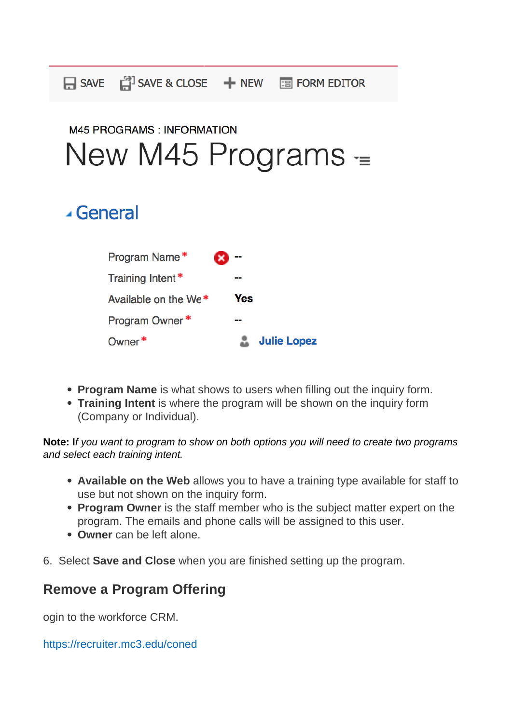

# M45 PROGRAMS : INFORMATION New M45 Programs =

## **∡General**

| Program Name*        | × | --  |                    |
|----------------------|---|-----|--------------------|
| Training Intent*     |   | --  |                    |
| Available on the We* |   | Yes |                    |
| Program Owner*       |   | --  |                    |
| Owner*               |   |     | <b>Julie Lopez</b> |

- **Program Name** is what shows to users when filling out the inquiry form.
- **Training Intent** is where the program will be shown on the inquiry form (Company or Individual).

**Note: I**f you want to program to show on both options you will need to create two programs and select each training intent.

- **Available on the Web** allows you to have a training type available for staff to use but not shown on the inquiry form.
- **Program Owner** is the staff member who is the subject matter expert on the program. The emails and phone calls will be assigned to this user.
- **Owner** can be left alone.
- 6. Select **Save and Close** when you are finished setting up the program.

#### **Remove a Program Offering**

ogin to the workforce CRM.

<https://recruiter.mc3.edu/coned>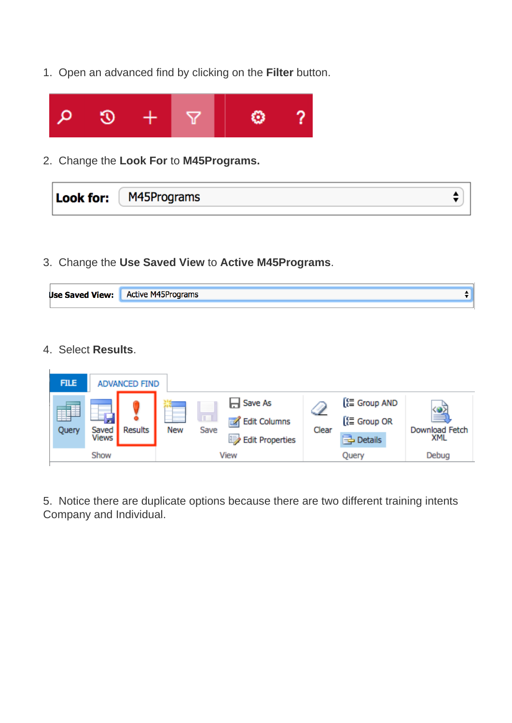1. Open an advanced find by clicking on the **Filter** button.



2. Change the **Look For** to **M45Programs.**

| <b>Look for:</b> | M45Programs |
|------------------|-------------|
|                  |             |

3. Change the **Use Saved View** to **Active M45Programs**.

| <b>Use Saved View:</b> | Active M45P<br>rdifis |  |
|------------------------|-----------------------|--|
|                        |                       |  |

4. Select **Results**.



5. Notice there are duplicate options because there are two different training intents Company and Individual.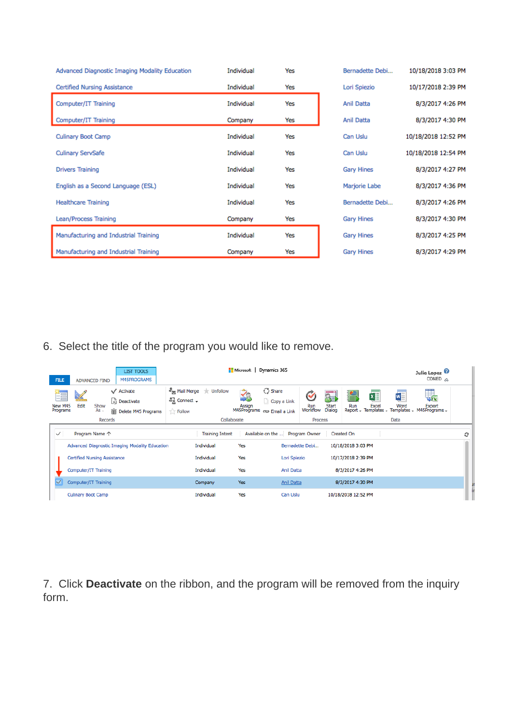| Advanced Diagnostic Imaging Modality Education | Individual | Yes | Bernadette Debi   | 10/18/2018 3:03 PM  |
|------------------------------------------------|------------|-----|-------------------|---------------------|
| Certified Nursing Assistance                   | Individual | Yes | Lori Spiezio      | 10/17/2018 2:39 PM  |
| Computer/IT Training                           | Individual | Yes | Anil Datta        | 8/3/2017 4:26 PM    |
| Computer/IT Training                           | Company    | Yes | Anil Datta        | 8/3/2017 4:30 PM    |
| <b>Culinary Boot Camp</b>                      | Individual | Yes | Can Uslu          | 10/18/2018 12:52 PM |
| <b>Culinary ServSafe</b>                       | Individual | Yes | Can Uslu          | 10/18/2018 12:54 PM |
| <b>Drivers Training</b>                        | Individual | Yes | Gary Hines        | 8/3/2017 4:27 PM    |
| English as a Second Language (ESL)             | Individual | Yes | Marjorie Labe     | 8/3/2017 4:36 PM    |
| <b>Healthcare Training</b>                     | Individual | Yes | Bernadette Debi   | 8/3/2017 4:26 PM    |
| Lean/Process Training                          | Company    | Yes | <b>Gary Hines</b> | 8/3/2017 4:30 PM    |
| Manufacturing and Industrial Training          | Individual | Yes | <b>Gary Hines</b> | 8/3/2017 4:25 PM    |
| Manufacturing and Industrial Training          | Company    | Yes | <b>Gary Hines</b> | 8/3/2017 4:29 PM    |

6. Select the title of the program you would like to remove.

| <b>FILE</b>              | <b>ADVANCED FIND</b>                           | <b>LIST TOOLS</b><br><b>M45PROGRAMS</b>                                              |                                                                                    |                        | Microsoft   Dynamics 365       |                                                              |                                    |                 |                     |                                  |                    | Julie Lopez <sup>O</sup><br>CONED $\alpha$                                       |   |
|--------------------------|------------------------------------------------|--------------------------------------------------------------------------------------|------------------------------------------------------------------------------------|------------------------|--------------------------------|--------------------------------------------------------------|------------------------------------|-----------------|---------------------|----------------------------------|--------------------|----------------------------------------------------------------------------------|---|
| È<br>New M45<br>Programs | $\frac{1}{\sqrt{2}}$<br>Edit<br>Show<br>$As -$ | √ Activate<br>p Deactivate<br>$\overline{\overline{\mathbf{m}}}$ Delete M45 Programs | နိ <sub>ု့ Mail</sub> Merge<br>$\frac{37}{28}$ Connect $\sqrt{ }$<br><b>Follow</b> | <b>Unfollow</b>        | $\tilde{\mathbf{y}}$<br>Assign | <b>3</b> Share<br>Copy a Link<br>M45Programs co Email a Link | $\blacklozenge$<br>Run<br>Workflow | Start<br>Dialog | Run                 | $\overline{\mathbf{x}}$<br>Excel | $w \equiv$<br>Word | $\frac{1}{\sqrt{2}}$<br>Export<br>Report - Templates - Templates - M45Programs - |   |
|                          | <b>Records</b>                                 |                                                                                      |                                                                                    |                        | Collaborate                    |                                                              | Process                            |                 |                     |                                  | Data               |                                                                                  |   |
| $\checkmark$             | Program Name 个                                 |                                                                                      |                                                                                    | <b>Training Intent</b> |                                | Available on the  Program Owner                              |                                    |                 | <b>Created On</b>   |                                  |                    |                                                                                  | e |
|                          |                                                | Advanced Diagnostic Imaging Modality Education                                       |                                                                                    | Individual             | Yes                            |                                                              | Bernadette Debi                    |                 | 10/18/2018 3:03 PM  |                                  |                    |                                                                                  |   |
|                          | <b>Certified Nursing Assistance</b>            |                                                                                      |                                                                                    | Individual             | Yes                            | Lori Spiezio                                                 |                                    |                 | 10/17/2018 2:39 PM  |                                  |                    |                                                                                  |   |
|                          | Computer/IT Training                           |                                                                                      |                                                                                    | Individual             | Yes                            | <b>Anil Datta</b>                                            |                                    |                 | 8/3/2017 4:26 PM    |                                  |                    |                                                                                  |   |
| $\checkmark$             | Computer/IT Training                           |                                                                                      |                                                                                    | Company                | Yes                            | Anil Datta                                                   |                                    |                 | 8/3/2017 4:30 PM    |                                  |                    |                                                                                  |   |
|                          | <b>Culinary Boot Camp</b>                      |                                                                                      |                                                                                    | Individual             | Yes                            | Can Uslu                                                     |                                    |                 | 10/18/2018 12:52 PM |                                  |                    |                                                                                  |   |

7. Click **Deactivate** on the ribbon, and the program will be removed from the inquiry form.